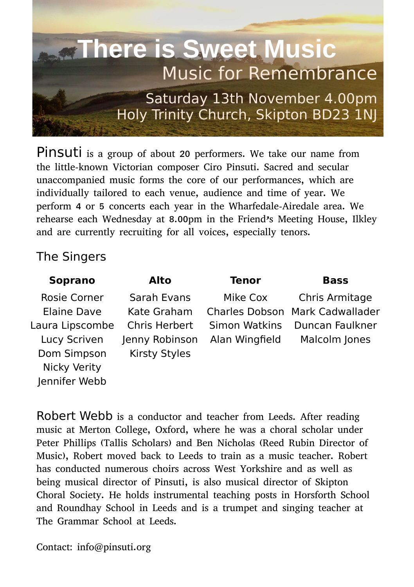

Pinsuti is a group of about 20 performers. We take our name from the little-known Victorian composer Ciro Pinsuti. Sacred and secular unaccompanied music forms the core of our performances, which are individually tailored to each venue, audience and time of year. We perform 4 or 5 concerts each year in the Wharfedale-Airedale area. We rehearse each Wednesday at 8.00pm in the Friend's Meeting House, Ilkley and are currently recruiting for all voices, especially tenors.

## The Singers

| <b>Soprano</b>      | Alto           | Tenor          | <b>Bass</b>                     |
|---------------------|----------------|----------------|---------------------------------|
| Rosie Corner        | Sarah Evans    | Mike Cox       | Chris Armitage                  |
| Elaine Dave         | Kate Graham    |                | Charles Dobson Mark Cadwallader |
| Laura Lipscombe     | Chris Herbert  | Simon Watkins  | Duncan Faulkner                 |
| Lucy Scriven        | Jenny Robinson | Alan Wingfield | Malcolm Jones                   |
| Dom Simpson         | Kirsty Styles  |                |                                 |
| <b>Nicky Verity</b> |                |                |                                 |
| Jennifer Webb       |                |                |                                 |

Robert Webb is a conductor and teacher from Leeds. After reading music at Merton College, Oxford, where he was a choral scholar under Peter Phillips (Tallis Scholars) and Ben Nicholas (Reed Rubin Director of Music), Robert moved back to Leeds to train as a music teacher. Robert has conducted numerous choirs across West Yorkshire and as well as being musical director of Pinsuti, is also musical director of Skipton Choral Society. He holds instrumental teaching posts in Horsforth School and Roundhay School in Leeds and is a trumpet and singing teacher at The Grammar School at Leeds.

Contact: info@pinsuti.org